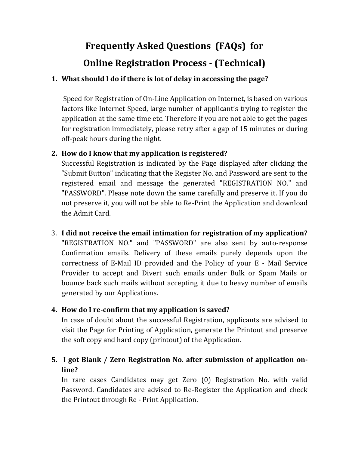# **Frequently Asked Questions (FAQs) for Online Registration Process - (Technical)**

#### **1. What should I do if there is lot of delay in accessing the page?**

Speed for Registration of On-Line Application on Internet, is based on various factors like Internet Speed, large number of applicant's trying to register the application at the same time etc. Therefore if you are not able to get the pages for registration immediately, please retry after a gap of 15 minutes or during off-peak hours during the night.

## **2. How do I know that my application is registered?**

Successful Registration is indicated by the Page displayed after clicking the "Submit Button" indicating that the Register No. and Password are sent to the registered email and message the generated "REGISTRATION NO." and "PASSWORD". Please note down the same carefully and preserve it. If you do not preserve it, you will not be able to Re-Print the Application and download the Admit Card.

3. **I did not receive the email intimation for registration of my application?** "REGISTRATION NO." and "PASSWORD" are also sent by auto-response Confirmation emails. Delivery of these emails purely depends upon the correctness of E-Mail ID provided and the Policy of your E - Mail Service Provider to accept and Divert such emails under Bulk or Spam Mails or bounce back such mails without accepting it due to heavy number of emails generated by our Applications.

## **4. How do I re-confirm that my application is saved?**

In case of doubt about the successful Registration, applicants are advised to visit the Page for Printing of Application, generate the Printout and preserve the soft copy and hard copy (printout) of the Application.

## **5. I got Blank / Zero Registration No. after submission of application online?**

In rare cases Candidates may get Zero (0) Registration No. with valid Password. Candidates are advised to Re-Register the Application and check the Printout through Re - Print Application.